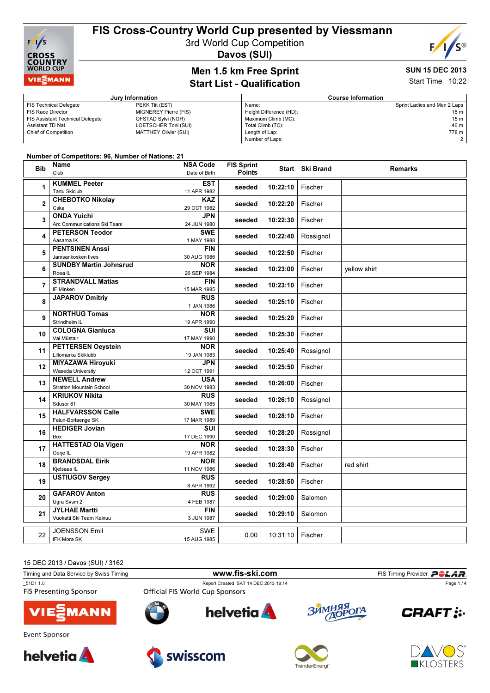

3rd World Cup Competition

Davos (SUI)

### Men 1.5 km Free Sprint Start List - Qualification

#### SUN 15 DEC 2013 Start Time: 10:22

 $E/$ 

|                                         | Jury Information      | <b>Course Information</b> |                              |  |
|-----------------------------------------|-----------------------|---------------------------|------------------------------|--|
| <b>FIS Technical Delegate</b>           | PEKK Tiit (EST)       | Name:                     | Sprint Ladies and Men 2 Laps |  |
| FIS Race Director                       | MIGNEREY Pierre (FIS) | Height Difference (HD):   | 18 m                         |  |
| <b>FIS Assistant Technical Delegate</b> | OFSTAD Sylvi (NOR)    | Maximum Climb (MC):       | 15 m                         |  |
| Assistant TD Nat.                       | LOETSCHER Toni (SUI)  | Total Climb (TC):         | 46 m                         |  |
| <b>Chief of Competition</b>             | MATTHEY Olivier (SUI) | Length of Lap:            | 778 m                        |  |
|                                         |                       | Number of Laps:           | $\mathcal{P}$                |  |

#### Number of Competitors: 96, Number of Nations: 21

| <b>Bib</b>     | Name                                  | <b>NSA Code</b>           | <b>FIS Sprint</b> |          | Start Ski Brand | <b>Remarks</b> |
|----------------|---------------------------------------|---------------------------|-------------------|----------|-----------------|----------------|
|                | Club                                  | Date of Birth             | <b>Points</b>     |          |                 |                |
| 1              | <b>KUMMEL Peeter</b>                  | <b>EST</b>                |                   |          |                 |                |
|                | <b>Tartu Skiclub</b>                  | 11 APR 1982               | seeded            | 10:22:10 | Fischer         |                |
|                | <b>CHEBOTKO Nikolay</b>               | <b>KAZ</b>                |                   |          |                 |                |
| 2              | Cska                                  | 29 OCT 1982               | seeded            | 10:22:20 | Fischer         |                |
| 3              | <b>ONDA Yuichi</b>                    | <b>JPN</b>                | seeded            | 10:22:30 | Fischer         |                |
|                | Arc Communications Ski Team           | 24 JUN 1980               |                   |          |                 |                |
| 4              | <b>PETERSON Teodor</b>                | <b>SWE</b>                | seeded            | 10:22:40 | Rossignol       |                |
|                | Aasama IK                             | 1 MAY 1988                |                   |          |                 |                |
| 5              | <b>PENTSINEN Anssi</b>                | <b>FIN</b>                | seeded            | 10:22:50 | Fischer         |                |
|                | Jamsankosken Ilves                    | 30 AUG 1986               |                   |          |                 |                |
| 6              | <b>SUNDBY Martin Johnsrud</b>         | <b>NOR</b>                | seeded            | 10:23:00 | Fischer         | yellow shirt   |
|                | Roea <sub>IL</sub>                    | 26 SEP 1984               |                   |          |                 |                |
| $\overline{7}$ | <b>STRANDVALL Matias</b><br>IF Minken | <b>FIN</b>                | seeded            | 10:23:10 | Fischer         |                |
|                | <b>JAPAROV Dmitriy</b>                | 15 MAR 1985<br><b>RUS</b> |                   |          |                 |                |
| 8              |                                       | 1 JAN 1986                | seeded            | 10:25:10 | Fischer         |                |
|                | <b>NORTHUG Tomas</b>                  | <b>NOR</b>                |                   |          |                 |                |
| 9              | Strindheim IL                         | 19 APR 1990               | seeded            | 10:25:20 | Fischer         |                |
|                | <b>COLOGNA Gianluca</b>               | SUI                       | seeded            |          |                 |                |
| 10             | Val Müstair                           | 17 MAY 1990               |                   | 10:25:30 | Fischer         |                |
| 11             | <b>PETTERSEN Oeystein</b>             | <b>NOR</b>                |                   |          |                 |                |
|                | Lillomarka Skiklubb                   | 19 JAN 1983               | seeded            | 10:25:40 | Rossignol       |                |
| 12             | <b>MIYAZAWA Hiroyuki</b>              | JPN                       | seeded            | 10:25:50 | Fischer         |                |
|                | Waseda University                     | 12 OCT 1991               |                   |          |                 |                |
| 13             | <b>NEWELL Andrew</b>                  | <b>USA</b>                | seeded            | 10:26:00 | Fischer         |                |
|                | <b>Stratton Mountain School</b>       | 30 NOV 1983               |                   |          |                 |                |
| 14             | <b>KRIUKOV Nikita</b>                 | <b>RUS</b>                | seeded            | 10:26:10 | Rossignol       |                |
|                | Sdusor 81<br><b>HALFVARSSON Calle</b> | 30 MAY 1985<br><b>SWE</b> |                   |          |                 |                |
| 15             | Falun-Borlaenge SK                    | 17 MAR 1989               | seeded            | 10:28:10 | Fischer         |                |
|                | <b>HEDIGER Jovian</b>                 | <b>SUI</b>                |                   |          |                 |                |
| 16             | Bex                                   | 17 DEC 1990               | seeded            | 10:28:20 | Rossignol       |                |
|                | <b>HATTESTAD Ola Vigen</b>            | <b>NOR</b>                |                   | 10:28:30 | Fischer         |                |
| 17             | Oerje IL                              | 19 APR 1982               | seeded            |          |                 |                |
| 18             | <b>BRANDSDAL Eirik</b>                | <b>NOR</b>                |                   |          | Fischer         |                |
|                | Kjelsaas IL                           | 11 NOV 1986               | seeded            | 10:28:40 |                 | red shirt      |
| 19             | <b>USTIUGOV Sergey</b>                | <b>RUS</b>                | seeded            | 10:28:50 | Fischer         |                |
|                |                                       | 8 APR 1992                |                   |          |                 |                |
| 20             | <b>GAFAROV Anton</b>                  | <b>RUS</b>                | seeded            | 10:29:00 | Salomon         |                |
|                | Ugra Svsm 2                           | 4 FEB 1987                |                   |          |                 |                |
| 21             | <b>JYLHAE Martti</b>                  | <b>FIN</b>                | seeded            | 10:29:10 | Salomon         |                |
|                | Vuokatti Ski Team Kainuu              | 3 JUN 1987                |                   |          |                 |                |
| 22             | JOENSSON Emil                         | <b>SWE</b>                |                   | 10:31:10 | Fischer         |                |
|                | <b>IFK Mora SK</b>                    | 15 AUG 1985               | 0.00              |          |                 |                |
|                |                                       |                           |                   |          |                 |                |

15 DEC 2013 / Davos (SUI) / 3162

| Timing and Data Service by Swiss Timing | www.fis-ski.com                        |        | FIS Timing Provider <b>POLAR</b> |
|-----------------------------------------|----------------------------------------|--------|----------------------------------|
| 51D1 1.0                                | Report Created SAT 14 DEC 2013 18:14   |        | Page 1/4                         |
| <b>FIS Presenting Sponsor</b>           | <b>Official FIS World Cup Sponsors</b> |        |                                  |
| <b>VIESMANN</b>                         | helvetia <b>A</b><br>O                 | ЗИМНЯЯ | <b>CRAFT:</b>                    |
| Event Sponsor                           |                                        |        |                                  |







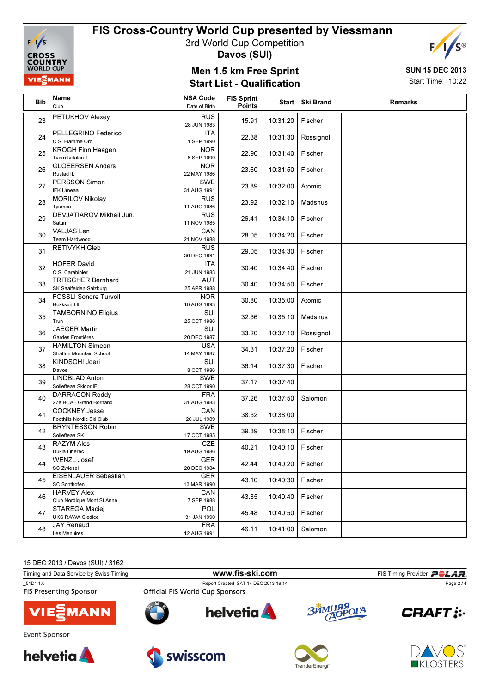

3rd World Cup Competition

Davos (SUI)

### Men 1.5 km Free Sprint Start List - Qualification



Start Time: 10:22

| <b>Bib</b> | Name                                                      | <b>NSA Code</b>           | <b>FIS Sprint</b> |          | Start Ski Brand | <b>Remarks</b> |
|------------|-----------------------------------------------------------|---------------------------|-------------------|----------|-----------------|----------------|
|            | Club                                                      | Date of Birth             | <b>Points</b>     |          |                 |                |
| 23         | <b>PETUKHOV Alexey</b>                                    | <b>RUS</b><br>28 JUN 1983 | 15.91             | 10:31:20 | Fischer         |                |
| 24         | PELLEGRINO Federico<br>C.S. Fiamme Oro                    | ITA<br>1 SEP 1990         | 22.38             | 10:31:30 | Rossignol       |                |
| 25         | <b>KROGH Finn Haagen</b><br>Tverrelvdalen II              | <b>NOR</b><br>6 SEP 1990  | 22.90             | 10:31:40 | Fischer         |                |
| 26         | <b>GLOEERSEN Anders</b><br>Rustad IL                      | <b>NOR</b><br>22 MAY 1986 | 23.60             | 10:31:50 | Fischer         |                |
| 27         | <b>PERSSON Simon</b><br><b>IFK Umeaa</b>                  | <b>SWE</b><br>31 AUG 1991 | 23.89             | 10:32:00 | Atomic          |                |
| 28         | <b>MORILOV Nikolay</b><br>Tyumen                          | <b>RUS</b><br>11 AUG 1986 | 23.92             | 10:32:10 | Madshus         |                |
| 29         | DEVJATIAROV Mikhail Jun.<br>Saturn                        | <b>RUS</b><br>11 NOV 1985 | 26.41             | 10:34:10 | Fischer         |                |
| 30         | <b>VALJAS Len</b><br>Team Hardwood                        | CAN<br>21 NOV 1988        | 28.05             | 10:34:20 | Fischer         |                |
| 31         | <b>RETIVYKH Gleb</b>                                      | <b>RUS</b><br>30 DEC 1991 | 29.05             | 10:34:30 | Fischer         |                |
| 32         | <b>HOFER David</b><br>C.S. Carabinieri                    | ITA<br>21 JUN 1983        | 30.40             | 10:34:40 | Fischer         |                |
| 33         | <b>TRITSCHER Bernhard</b><br>SK Saalfelden-Salzburg       | <b>AUT</b><br>25 APR 1988 | 30.40             | 10:34:50 | Fischer         |                |
| 34         | FOSSLI Sondre Turvoll<br>Hokksund IL                      | <b>NOR</b><br>10 AUG 1993 | 30.80             | 10:35:00 | Atomic          |                |
| 35         | <b>TAMBORNINO Eligius</b><br>Trun                         | SUI<br>25 OCT 1986        | 32.36             | 10:35:10 | Madshus         |                |
| 36         | <b>JAEGER Martin</b><br>Gardes Frontières                 | <b>SUI</b><br>20 DEC 1987 | 33.20             | 10:37:10 | Rossignol       |                |
| 37         | <b>HAMILTON Simeon</b><br><b>Stratton Mountain School</b> | <b>USA</b><br>14 MAY 1987 | 34.31             | 10:37:20 | Fischer         |                |
| 38         | KINDSCHI Joeri<br>Davos                                   | SUI<br>8 OCT 1986         | 36.14             | 10:37:30 | Fischer         |                |
| 39         | <b>LINDBLAD Anton</b><br>Sollefteaa Skidor IF             | SWE<br>28 OCT 1990        | 37.17             | 10:37:40 |                 |                |
| 40         | <b>DARRAGON Roddy</b><br>27e BCA - Grand Bornand          | <b>FRA</b><br>31 AUG 1983 | 37.26             | 10:37:50 | Salomon         |                |
| 41         | <b>COCKNEY Jesse</b><br>Foothills Nordic Ski Club         | CAN<br>26 JUL 1989        | 38.32             | 10:38:00 |                 |                |
| 42         | <b>BRYNTESSON Robin</b><br>Sollefteaa SK                  | SWE<br>17 OCT 1985        | 39.39             | 10:38:10 | Fischer         |                |
| 43         | <b>RAZYM Ales</b><br>Dukla Liberec                        | <b>CZE</b><br>19 AUG 1986 | 40.21             | 10:40:10 | Fischer         |                |
| 44         | WENZL Josef<br><b>SC Zwiesel</b>                          | <b>GER</b><br>20 DEC 1984 | 42.44             | 10:40:20 | Fischer         |                |
| 45         | EISENLAUER Sebastian<br>SC Sonthofen                      | <b>GER</b><br>13 MAR 1990 | 43.10             | 10:40:30 | Fischer         |                |
| 46         | <b>HARVEY Alex</b><br>Club Nordique Mont St.Anne          | CAN<br>7 SEP 1988         | 43.85             | 10:40:40 | Fischer         |                |
| 47         | STAREGA Maciej<br><b>UKS RAWA Siedlce</b>                 | <b>POL</b><br>31 JAN 1990 | 45.48             | 10:40:50 | Fischer         |                |
| 48         | <b>JAY Renaud</b><br>Les Menuires                         | <b>FRA</b><br>12 AUG 1991 | 46.11             | 10:41:00 | Salomon         |                |

15 DEC 2013 / Davos (SUI) / 3162

Timing and Data Service by Swiss Timing **WWW.fis-Ski.com** FIS Timing Provider PCLAR. \_51D1 1.0 Report Created SAT 14 DEC 2013 18:14 Page 2 / 4**Official FIS World Cup Sponsors** ЗЙМНЯЯ<br>ДОРОГА helvetia **A CRAFT: :-MANN** Event Sponsor







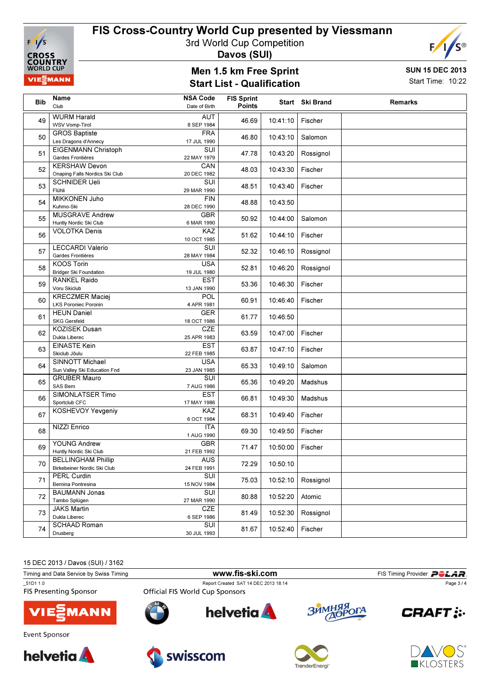

3rd World Cup Competition

Davos (SUI)

### Men 1.5 km Free Sprint Start List - Qualification



Start Time: 10:22

F,

| Bib | Name<br>Club                                             | <b>NSA Code</b><br>Date of Birth | <b>FIS Sprint</b><br><b>Points</b> |          | Start Ski Brand | <b>Remarks</b> |
|-----|----------------------------------------------------------|----------------------------------|------------------------------------|----------|-----------------|----------------|
| 49  | <b>WURM Harald</b><br><b>WSV Vomp-Tirol</b>              | AUT<br>8 SEP 1984                | 46.69                              | 10:41:10 | Fischer         |                |
| 50  | <b>GROS Baptiste</b><br>Les Dragons d'Annecy             | <b>FRA</b><br>17 JUL 1990        | 46.80                              | 10:43:10 | Salomon         |                |
| 51  | <b>EIGENMANN Christoph</b><br>Gardes Frontières          | SUI<br>22 MAY 1979               | 47.78                              | 10:43:20 | Rossignol       |                |
| 52  | <b>KERSHAW Devon</b><br>Onaping Falls Nordics Ski Club   | CAN<br>20 DEC 1982               | 48.03                              | 10:43:30 | Fischer         |                |
| 53  | <b>SCHNIDER Ueli</b><br>Flühli                           | SUI<br>29 MAR 1990               | 48.51                              | 10:43:40 | Fischer         |                |
| 54  | <b>MIKKONEN Juho</b><br>Kuhmo-Ski                        | <b>FIN</b><br>28 DEC 1990        | 48.88                              | 10:43:50 |                 |                |
| 55  | <b>MUSGRAVE Andrew</b><br>Huntly Nordic Ski Club         | <b>GBR</b><br>6 MAR 1990         | 50.92                              | 10:44:00 | Salomon         |                |
| 56  | <b>VOLOTKA Denis</b>                                     | KAZ<br>10 OCT 1985               | 51.62                              | 10:44:10 | Fischer         |                |
| 57  | <b>LECCARDI Valerio</b><br>Gardes Frontières             | SUI<br>28 MAY 1984               | 52.32                              | 10:46:10 | Rossignol       |                |
| 58  | <b>KOOS Torin</b><br><b>Bridger Ski Foundation</b>       | <b>USA</b><br>19 JUL 1980        | 52.81                              | 10:46:20 | Rossignol       |                |
| 59  | RANKEL Raido<br>Voru Skiclub                             | <b>EST</b><br>13 JAN 1990        | 53.36                              | 10:46:30 | Fischer         |                |
| 60  | <b>KRECZMER Maciej</b><br><b>LKS Poroniec Poronin</b>    | <b>POL</b><br>4 APR 1981         | 60.91                              | 10:46:40 | Fischer         |                |
| 61  | <b>HEUN Daniel</b><br><b>SKG Gersfeld</b>                | <b>GER</b><br>18 OCT 1986        | 61.77                              | 10:46:50 |                 |                |
| 62  | <b>KOZISEK Dusan</b><br>Dukla Liberec                    | CZE<br>25 APR 1983               | 63.59                              | 10:47:00 | Fischer         |                |
| 63  | <b>EINASTE Kein</b><br>Skiclub Jõulu                     | <b>EST</b><br>22 FEB 1985        | 63.87                              | 10:47:10 | Fischer         |                |
| 64  | SINNOTT Michael<br>Sun Valley Ski Education Fnd          | <b>USA</b><br>23 JAN 1985        | 65.33                              | 10:49:10 | Salomon         |                |
| 65  | <b>GRUBER Mauro</b><br>SAS Bern                          | SUI<br>7 AUG 1986                | 65.36                              | 10:49:20 | Madshus         |                |
| 66  | SIMONLATSER Timo<br>Sportclub CFC                        | <b>EST</b><br>17 MAY 1986        | 66.81                              | 10:49:30 | Madshus         |                |
| 67  | KOSHEVOY Yevgeniy                                        | <b>KAZ</b><br>6 OCT 1984         | 68.31                              | 10:49:40 | Fischer         |                |
| 68  | NIZZI Enrico                                             | <b>ITA</b><br>1 AUG 1990         | 69.30                              | 10:49:50 | Fischer         |                |
| 69  | <b>YOUNG Andrew</b><br>Huntly Nordic Ski Club            | <b>GBR</b><br>21 FEB 1992        | 71.47                              | 10:50:00 | Fischer         |                |
| 70  | <b>BELLINGHAM Phillip</b><br>Birkebeiner Nordic Ski Club | <b>AUS</b><br>24 FEB 1991        | 72.29                              | 10:50:10 |                 |                |
| 71  | <b>PERL Curdin</b><br>Bernina Pontresina                 | SUI<br>15 NOV 1984               | 75.03                              | 10:52:10 | Rossignol       |                |
| 72  | <b>BAUMANN Jonas</b><br>Tambo Splügen                    | SUI<br>27 MAR 1990               | 80.88                              | 10:52:20 | Atomic          |                |
| 73  | <b>JAKS Martin</b><br>Dukla Liberec                      | <b>CZE</b><br>6 SEP 1986         | 81.49                              | 10:52:30 | Rossignol       |                |
| 74  | <b>SCHAAD Roman</b><br>Drusberg                          | SUI<br>30 JUL 1993               | 81.67                              | 10:52:40 | Fischer         |                |

15 DEC 2013 / Davos (SUI) / 3162

Timing and Data Service by Swiss Timing **WWW.fis-Ski.com** FIS Timing Provider PCLAR. \_51D1 1.0 Report Created SAT 14 DEC 2013 18:14 Page 3 / 4**FIS Presenting Sponsor** ЗЙМНЯЯ helvetia **A**  $'$ OrA **CRAFT: :-MANN THACK** Event Sponsor